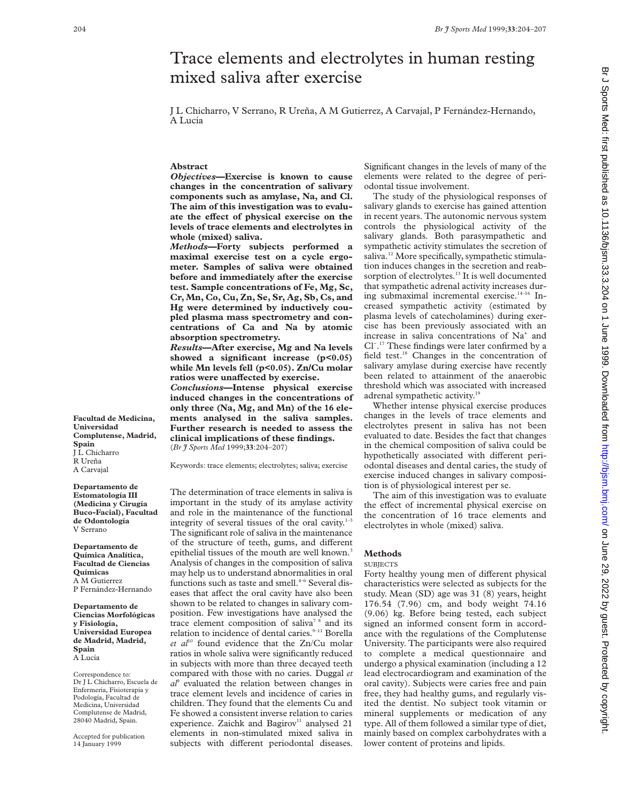# Trace elements and electrolytes in human resting mixed saliva after exercise

J L Chicharro, V Serrano, R Ureña, A M Gutierrez, A Carvajal, P Fernández-Hernando, A Lucía

### **Abstract**

*Objectives***—Exercise is known to cause changes in the concentration of salivary components such as amylase, Na, and Cl. The aim of this investigation was to evalu**ate the effect of physical exercise on the **levels of trace elements and electrolytes in whole (mixed) saliva.**

*Methods***—Forty subjects performed a maximal exercise test on a cycle ergometer. Samples of saliva were obtained before and immediately after the exercise test. Sample concentrations of Fe, Mg, Sc, Cr, Mn, Co, Cu, Zn, Se, Sr, Ag, Sb, Cs, and Hg were determined by inductively coupled plasma mass spectrometry and concentrations of Ca and Na by atomic absorption spectrometry.**

*Results***—After exercise, Mg and Na levels showed a significant increase (p<0.05) while Mn levels fell (p<0.05). Zn/Cu molar** ratios were unaffected by exercise.

*Conclusions***—Intense physical exercise induced changes in the concentrations of only three (Na, Mg, and Mn) of the 16 elements analysed in the saliva samples. Further research is needed to assess the clinical implications of these findings.** (*Br J Sports Med* 1999;**33**:204–207)

Keywords: trace elements; electrolytes; saliva; exercise

The determination of trace elements in saliva is important in the study of its amylase activity and role in the maintenance of the functional integrity of several tissues of the oral cavity. $1-3$ The significant role of saliva in the maintenance of the structure of teeth, gums, and different epithelial tissues of the mouth are well known.<sup>3</sup> Analysis of changes in the composition of saliva may help us to understand abnormalities in oral functions such as taste and smell.<sup>4-6</sup> Several diseases that affect the oral cavity have also been shown to be related to changes in salivary composition. Few investigations have analysed the trace element composition of saliva<sup>78</sup> and its relation to incidence of dental caries. $9-11$  Borella et al<sup>10</sup> found evidence that the Zn/Cu molar ratios in whole saliva were significantly reduced in subjects with more than three decayed teeth compared with those with no caries*.* Duggal *et al*<sup>9</sup> evaluated the relation between changes in trace element levels and incidence of caries in children. They found that the elements Cu and Fe showed a consistent inverse relation to caries experience. Zaichk and Bagirov<sup>11</sup> analysed 21 elements in non-stimulated mixed saliva in subjects with different periodontal diseases.

Significant changes in the levels of many of the elements were related to the degree of periodontal tissue involvement.

The study of the physiological responses of salivary glands to exercise has gained attention in recent years. The autonomic nervous system controls the physiological activity of the salivary glands. Both parasympathetic and sympathetic activity stimulates the secretion of saliva.<sup>12</sup> More specifically, sympathetic stimulation induces changes in the secretion and reabsorption of electrolytes.<sup>13</sup> It is well documented that sympathetic adrenal activity increases during submaximal incremental exercise.14–16 Increased sympathetic activity (estimated by plasma levels of catecholamines) during exercise has been previously associated with an increase in saliva concentrations of Na<sup>+</sup> and Cl− . <sup>17</sup> These findings were later confirmed by a field test.<sup>18</sup> Changes in the concentration of salivary amylase during exercise have recently been related to attainment of the anaerobic threshold which was associated with increased adrenal sympathetic activity.<sup>19</sup>

Whether intense physical exercise produces changes in the levels of trace elements and electrolytes present in saliva has not been evaluated to date. Besides the fact that changes in the chemical composition of saliva could be hypothetically associated with different periodontal diseases and dental caries, the study of exercise induced changes in salivary composition is of physiological interest per se.

The aim of this investigation was to evaluate the effect of incremental physical exercise on the concentration of 16 trace elements and electrolytes in whole (mixed) saliva.

#### **Methods**

#### **SUBJECTS**

Forty healthy young men of different physical characteristics were selected as subjects for the study. Mean (SD) age was 31 (8) years, height 176.54 (7.96) cm, and body weight 74.16 (9.06) kg. Before being tested, each subject signed an informed consent form in accordance with the regulations of the Complutense University. The participants were also required to complete a medical questionnaire and undergo a physical examination (including a 12 lead electrocardiogram and examination of the oral cavity). Subjects were caries free and pain free, they had healthy gums, and regularly visited the dentist. No subject took vitamin or mineral supplements or medication of any type. All of them followed a similar type of diet, mainly based on complex carbohydrates with a lower content of proteins and lipids.

**Facultad de Medicina, Universidad Complutense, Madrid, Spain** J L Chicharro R Ureña A Carvajal

**Departamento de Estomatología III (Medicina y Cirugía Buco-Facial), Facultad de Odontología** V Serrano

**Departamento de Química Analítica, Facultad de Ciencias Químicas** A M Gutierrez P Fernández-Hernando

**Departamento de Ciencias Morfológicas y Fisiología, Universidad Europea de Madrid, Madrid, Spain** A Lucía

Correspondence to: Dr J L Chicharro, Escuela de Enfermería, Fisioterapia y Podología, Facultad de Medicina, Universidad Complutense de Madrid, 28040 Madrid, Spain.

Accepted for publication 14 January 1999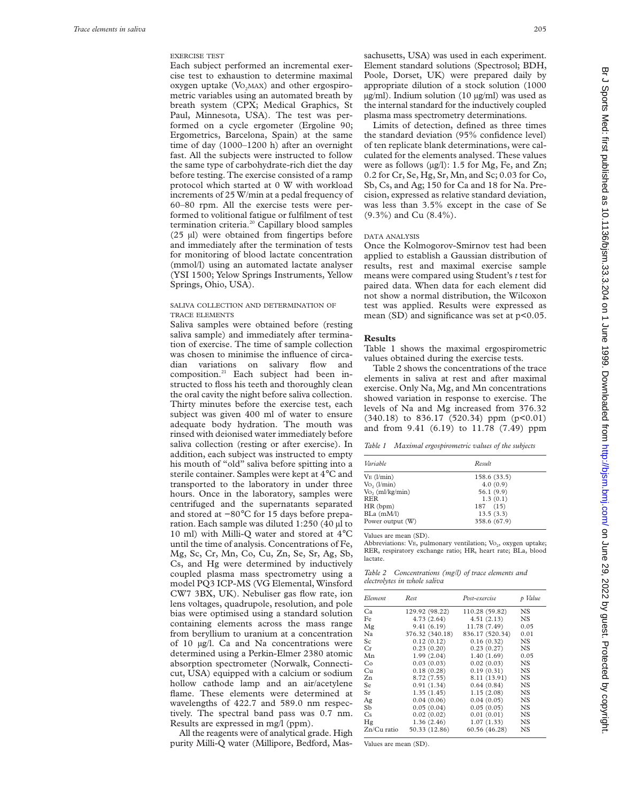# EXERCISE TEST

Each subject performed an incremental exercise test to exhaustion to determine maximal  $oxygen$  uptake  $(Vo<sub>2</sub>MAX)$  and other ergospirometric variables using an automated breath by breath system (CPX; Medical Graphics, St Paul, Minnesota, USA). The test was performed on a cycle ergometer (Ergoline 90; Ergometrics, Barcelona, Spain) at the same time of day (1000–1200 h) after an overnight fast. All the subjects were instructed to follow the same type of carbohydrate-rich diet the day before testing. The exercise consisted of a ramp protocol which started at 0 W with workload increments of 25 W/min at a pedal frequency of 60–80 rpm. All the exercise tests were performed to volitional fatigue or fulfilment of test termination criteria.<sup>20</sup> Capillary blood samples (25 µl) were obtained from fingertips before and immediately after the termination of tests for monitoring of blood lactate concentration (mmol/l) using an automated lactate analyser (YSI 1500; Yelow Springs Instruments, Yellow Springs, Ohio, USA).

#### SALIVA COLLECTION AND DETERMINATION OF TRACE ELEMENTS

Saliva samples were obtained before (resting saliva sample) and immediately after termination of exercise. The time of sample collection was chosen to minimise the influence of circadian variations on salivary flow and composition.21 Each subject had been instructed to floss his teeth and thoroughly clean the oral cavity the night before saliva collection. Thirty minutes before the exercise test, each subject was given 400 ml of water to ensure adequate body hydration. The mouth was rinsed with deionised water immediately before saliva collection (resting or after exercise). In addition, each subject was instructed to empty his mouth of "old" saliva before spitting into a sterile container. Samples were kept at 4°C and transported to the laboratory in under three hours. Once in the laboratory, samples were centrifuged and the supernatants separated and stored at −80°C for 15 days before preparation. Each sample was diluted 1:250 (40 µl to 10 ml) with Milli-Q water and stored at 4°C until the time of analysis. Concentrations of Fe, Mg, Sc, Cr, Mn, Co, Cu, Zn, Se, Sr, Ag, Sb, Cs, and Hg were determined by inductively coupled plasma mass spectrometry using a model PQ3 ICP-MS (VG Elemental, Winsford CW7 3BX, UK). Nebuliser gas flow rate, ion lens voltages, quadrupole, resolution, and pole bias were optimised using a standard solution containing elements across the mass range from beryllium to uranium at a concentration of 10 µg/l. Ca and Na concentrations were determined using a Perkin-Elmer 2380 atomic absorption spectrometer (Norwalk, Connecticut, USA) equipped with a calcium or sodium hollow cathode lamp and an air/acetylene flame. These elements were determined at wavelengths of 422.7 and 589.0 nm respectively. The spectral band pass was 0.7 nm. Results are expressed in mg/l (ppm).

All the reagents were of analytical grade. High purity Milli-Q water (Millipore, Bedford, Massachusetts, USA) was used in each experiment. Element standard solutions (Spectrosol; BDH, Poole, Dorset, UK) were prepared daily by appropriate dilution of a stock solution (1000 µg/ml). Indium solution (10 µg/ml) was used as the internal standard for the inductively coupled plasma mass spectrometry determinations.

Limits of detection, defined as three times the standard deviation (95% confidence level) of ten replicate blank determinations, were calculated for the elements analysed. These values were as follows (µg/l): 1.5 for Mg, Fe, and Zn; 0.2 for Cr, Se, Hg, Sr, Mn, and Sc; 0.03 for Co, Sb, Cs, and Ag; 150 for Ca and 18 for Na. Precision, expressed as relative standard deviation, was less than 3.5% except in the case of Se (9.3%) and Cu (8.4%).

#### DATA ANALYSIS

Once the Kolmogorov-Smirnov test had been applied to establish a Gaussian distribution of results, rest and maximal exercise sample means were compared using Student's *t* test for paired data. When data for each element did not show a normal distribution, the Wilcoxon test was applied. Results were expressed as mean (SD) and significance was set at p<0.05.

#### **Results**

Table 1 shows the maximal ergospirometric values obtained during the exercise tests.

Table 2 shows the concentrations of the trace elements in saliva at rest and after maximal exercise. Only Na, Mg, and Mn concentrations showed variation in response to exercise. The levels of Na and Mg increased from 376.32  $(340.18)$  to  $836.17$   $(520.34)$  ppm  $(p<0.01)$ and from 9.41 (6.19) to 11.78 (7.49) ppm

*Table 1 Maximal ergospirometric values of the subjects*

| Variable           | Result       |  |  |
|--------------------|--------------|--|--|
| $VE$ ( $l/min$ )   | 158.6(33.5)  |  |  |
| Vo, (l/min)        | 4.0(0.9)     |  |  |
| $Vo$ , (ml/kg/min) | 56.1 (9.9)   |  |  |
| RER                | 1.3(0.1)     |  |  |
| $HR$ (bpm)         | 187 (15)     |  |  |
| $BLa$ (m $M/l$ )   | 13.5(3.3)    |  |  |
| Power output (W)   | 358.6 (67.9) |  |  |

Values are mean (SD).

Abbreviations: VE, pulmonary ventilation; Vo $_{2}$ , oxygen uptake; RER, respiratory exchange ratio; HR, heart rate; BLa, blood lactate.

| Table 2 Concentrations (mg/l) of trace elements and |  |  |
|-----------------------------------------------------|--|--|
| electrolytes in whole saliva                        |  |  |

| Element     | Rest            | Post-exercise   | p Value   |  |
|-------------|-----------------|-----------------|-----------|--|
| Cа          | 129.92 (98.22)  | 110.28 (59.82)  | NS.       |  |
| Fe          | 4.73(2.64)      | 4.51(2.13)      | NS        |  |
| Mg          | 9.41(6.19)      | 11.78 (7.49)    | 0.05      |  |
| Na          | 376.32 (340.18) | 836.17 (520.34) | 0.01      |  |
| Sc.         | 0.12(0.12)      | 0.16(0.32)      | NS        |  |
| Сr          | 0.23(0.20)      | 0.23(0.27)      | NS        |  |
| Mn          | 1.99(2.04)      | 1.40(1.69)      | 0.05      |  |
| Co          | 0.03(0.03)      | 0.02(0.03)      | <b>NS</b> |  |
| Cu          | 0.18(0.28)      | 0.19(0.31)      | NS        |  |
| Zn          | 8.72(7.55)      | 8.11 (13.91)    | <b>NS</b> |  |
| Se.         | 0.91(1.34)      | 0.64(0.84)      | NS        |  |
| Sr          | 1.35(1.45)      | 1.15(2.08)      | <b>NS</b> |  |
| Ag          | 0.04(0.06)      | 0.04(0.05)      | NS        |  |
| Sb          | 0.05(0.04)      | 0.05(0.05)      | <b>NS</b> |  |
| Cs          | 0.02(0.02)      | 0.01(0.01)      | <b>NS</b> |  |
| Hg          | 1.36(2.46)      | 1.07(1.33)      | NS        |  |
| Zn/Cu ratio | 50.33 (12.86)   | 60.56 (46.28)   | NS        |  |

Values are mean (SD).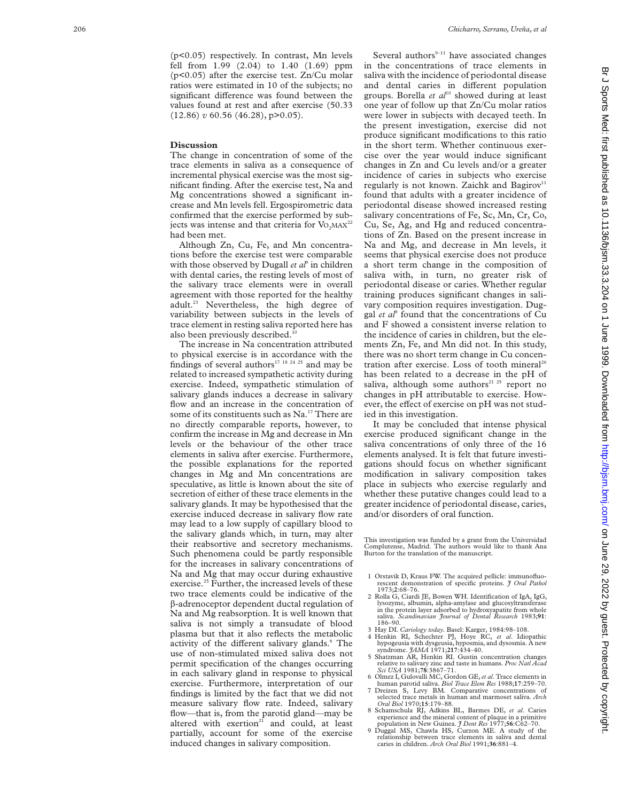(p<0.05) respectively. In contrast, Mn levels fell from 1.99 (2.04) to 1.40 (1.69) ppm (p<0.05) after the exercise test. Zn/Cu molar ratios were estimated in 10 of the subjects; no significant difference was found between the values found at rest and after exercise (50.33 (12.86) *v* 60.56 (46.28), p>0.05).

# **Discussion**

The change in concentration of some of the trace elements in saliva as a consequence of incremental physical exercise was the most significant finding. After the exercise test, Na and Mg concentrations showed a significant increase and Mn levels fell. Ergospirometric data confirmed that the exercise performed by subjects was intense and that criteria for  $Vo<sub>2</sub>MAX<sup>22</sup>$ had been met.

Although Zn, Cu, Fe, and Mn concentrations before the exercise test were comparable with those observed by Dugall *et al*<sup>9</sup> in children with dental caries, the resting levels of most of the salivary trace elements were in overall agreement with those reported for the healthy adult.<sup>23</sup> Nevertheless, the high degree of variability between subjects in the levels of trace element in resting saliva reported here has also been previously described.<sup>10</sup>

The increase in Na concentration attributed to physical exercise is in accordance with the findings of several authors<sup>17</sup> 18  $24$  25 and may be related to increased sympathetic activity during exercise. Indeed, sympathetic stimulation of salivary glands induces a decrease in salivary flow and an increase in the concentration of some of its constituents such as Na.<sup>17</sup> There are no directly comparable reports, however, to confirm the increase in Mg and decrease in Mn levels or the behaviour of the other trace elements in saliva after exercise. Furthermore, the possible explanations for the reported changes in Mg and Mn concentrations are speculative, as little is known about the site of secretion of either of these trace elements in the salivary glands. It may be hypothesised that the exercise induced decrease in salivary flow rate may lead to a low supply of capillary blood to the salivary glands which, in turn, may alter their reabsortive and secretory mechanisms. Such phenomena could be partly responsible for the increases in salivary concentrations of Na and Mg that may occur during exhaustive exercise.<sup>25</sup> Further, the increased levels of these two trace elements could be indicative of the â-adrenoceptor dependent ductal regulation of Na and Mg reabsorption. It is well known that saliva is not simply a transudate of blood plasma but that it also reflects the metabolic activity of the different salivary glands.<sup>6</sup> The use of non-stimulated mixed saliva does not permit specification of the changes occurring in each salivary gland in response to physical exercise. Furthermore, interpretation of our findings is limited by the fact that we did not measure salivary flow rate. Indeed, salivary flow—that is, from the parotid gland—may be altered with exertion<sup>21</sup> and could, at least partially, account for some of the exercise induced changes in salivary composition.

Several authors $9-11$  have associated changes in the concentrations of trace elements in saliva with the incidence of periodontal disease and dental caries in different population groups. Borella et al<sup>10</sup> showed during at least one year of follow up that Zn/Cu molar ratios were lower in subjects with decayed teeth. In the present investigation, exercise did not produce significant modifications to this ratio in the short term. Whether continuous exercise over the year would induce significant changes in Zn and Cu levels and/or a greater incidence of caries in subjects who exercise regularly is not known. Zaichk and Bagirov<sup>11</sup> found that adults with a greater incidence of periodontal disease showed increased resting salivary concentrations of Fe, Sc, Mn, Cr, Co, Cu, Se, Ag, and Hg and reduced concentrations of Zn. Based on the present increase in Na and Mg, and decrease in Mn levels, it seems that physical exercise does not produce a short term change in the composition of saliva with, in turn, no greater risk of periodontal disease or caries. Whether regular training produces significant changes in salivary composition requires investigation. Duggal *et al*<sup>9</sup> found that the concentrations of Cu and F showed a consistent inverse relation to the incidence of caries in children, but the elements Zn, Fe, and Mn did not. In this study, there was no short term change in Cu concentration after exercise. Loss of tooth mineral<sup>26</sup> has been related to a decrease in the pH of saliva, although some authors<sup>21 25</sup> report no changes in pH attributable to exercise. However, the effect of exercise on pH was not studied in this investigation.

It may be concluded that intense physical exercise produced significant change in the saliva concentrations of only three of the 16 elements analysed. It is felt that future investigations should focus on whether significant modification in salivary composition takes place in subjects who exercise regularly and whether these putative changes could lead to a greater incidence of periodontal disease, caries, and/or disorders of oral function.

This investigation was funded by a grant from the Universidad Complutense, Madrid. The authors would like to thank Ana Burton for the translation of the manuscript.

- 1 Orstavik D, Kraus FW. The acquired pellicle: immunofluorescent demonstration of specific proteins. *J Oral Pathol* 1973; **2**:68–76.
- 2 Rolla G, Ciardi JE, Bowen WH. Identification of IgA, IgG, lysozyme, albumin, alpha-amylase and glucosyltransferase in the protein layer adsorbed to hydroxyapatite from whole saliva. *Scandinavian Journal of Dental Research* 1983;**91** : saliva. - S<br>186–90.
- 3 Hay DI. *Cariology today*. Basel: Karger, 1984:98–108.
- 4 Henkin RI, Schechter PJ, Hoye RC, *et al*. Idiopathic hypogeusia with dysgeusia, hyposmia, and dysosmia. A new syndrome. *JAMA* 1971;**217**:434–40.
- 5 Shatzman AR, Henkin RI. Gustin concentration changes relative to salivary zinc and taste in humans. *Proc Natl Acad Sci USA* 1981;**78**:3867–71.
- 6 Olmez I, Gulovalli MC, Gordon GE,*et al*. Trace elements in human parotid saliva. *Biol Trace Elem Res* 1988;**17**:259–70.
- 7 Dreizen S, Levy BM. Comparative concentrations of selected trace metals in human and marmoset saliva. *Arch Oral Biol* 1970;**15**:179–88.
- 8 Schamschula RJ, Adkins BL, Barmes DE, et al. Caries<br>experience and the mineral content of plaque in a primitive<br>population in New Guinea. *J Dent Res* 1977;56:C62-70.<br>9 Duggal MS, Chawla HS, Curzon ME. A study of the
- relationship between trace elements in saliva and dental caries in children. *Arch Oral Biol* 1991;**36**:881–4.